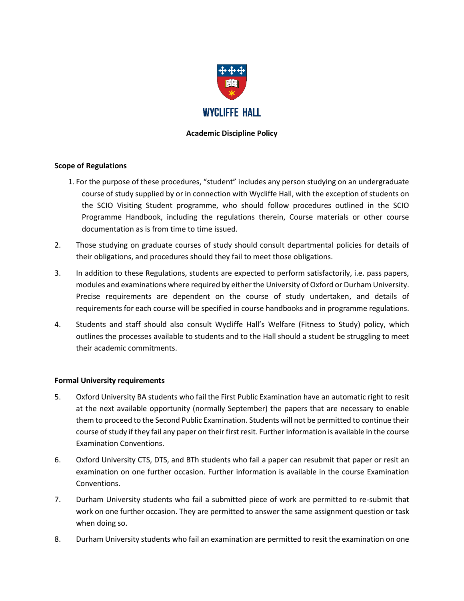

## **Academic Discipline Policy**

## **Scope of Regulations**

- 1. For the purpose of these procedures, "student" includes any person studying on an undergraduate course of study supplied by or in connection with Wycliffe Hall, with the exception of students on the SCIO Visiting Student programme, who should follow procedures outlined in the SCIO Programme Handbook, including the regulations therein, Course materials or other course documentation as is from time to time issued.
- 2. Those studying on graduate courses of study should consult departmental policies for details of their obligations, and procedures should they fail to meet those obligations.
- 3. In addition to these Regulations, students are expected to perform satisfactorily, i.e. pass papers, modules and examinations where required by either the University of Oxford or Durham University. Precise requirements are dependent on the course of study undertaken, and details of requirements for each course will be specified in course handbooks and in programme regulations.
- 4. Students and staff should also consult Wycliffe Hall's Welfare (Fitness to Study) policy, which outlines the processes available to students and to the Hall should a student be struggling to meet their academic commitments.

## **Formal University requirements**

- 5. Oxford University BA students who fail the First Public Examination have an automatic right to resit at the next available opportunity (normally September) the papers that are necessary to enable them to proceed to the Second Public Examination. Students will not be permitted to continue their course of study if they fail any paper on their first resit. Further information is available in the course Examination Conventions.
- 6. Oxford University CTS, DTS, and BTh students who fail a paper can resubmit that paper or resit an examination on one further occasion. Further information is available in the course Examination Conventions.
- 7. Durham University students who fail a submitted piece of work are permitted to re-submit that work on one further occasion. They are permitted to answer the same assignment question or task when doing so.
- 8. Durham University students who fail an examination are permitted to resit the examination on one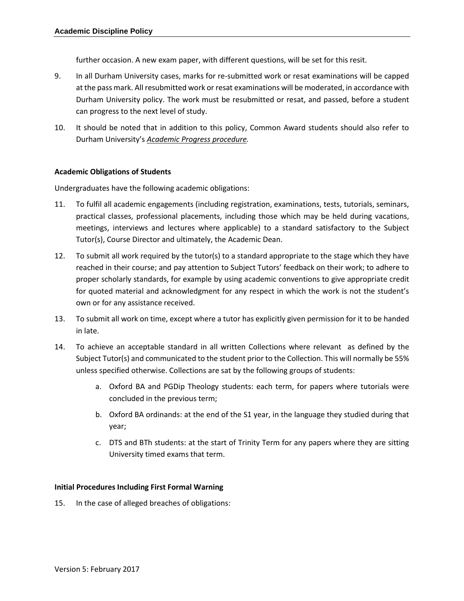further occasion. A new exam paper, with different questions, will be set for this resit.

- 9. In all Durham University cases, marks for re-submitted work or resat examinations will be capped at the pass mark. All resubmitted work or resat examinations will be moderated, in accordance with Durham University policy. The work must be resubmitted or resat, and passed, before a student can progress to the next level of study.
- 10. It should be noted that in addition to this policy, Common Award students should also refer to Durham University's *[Academic Progress procedure.](https://www.dur.ac.uk/learningandteaching.handbook/2/6/3/)*

## **Academic Obligations of Students**

Undergraduates have the following academic obligations:

- 11. To fulfil all academic engagements (including registration, examinations, tests, tutorials, seminars, practical classes, professional placements, including those which may be held during vacations, meetings, interviews and lectures where applicable) to a standard satisfactory to the Subject Tutor(s), Course Director and ultimately, the Academic Dean.
- 12. To submit all work required by the tutor(s) to a standard appropriate to the stage which they have reached in their course; and pay attention to Subject Tutors' feedback on their work; to adhere to proper scholarly standards, for example by using academic conventions to give appropriate credit for quoted material and acknowledgment for any respect in which the work is not the student's own or for any assistance received.
- 13. To submit all work on time, except where a tutor has explicitly given permission for it to be handed in late.
- 14. To achieve an acceptable standard in all written Collections where relevant as defined by the Subject Tutor(s) and communicated to the student prior to the Collection. This will normally be 55% unless specified otherwise. Collections are sat by the following groups of students:
	- a. Oxford BA and PGDip Theology students: each term, for papers where tutorials were concluded in the previous term;
	- b. Oxford BA ordinands: at the end of the S1 year, in the language they studied during that year;
	- c. DTS and BTh students: at the start of Trinity Term for any papers where they are sitting University timed exams that term.

## **Initial Procedures Including First Formal Warning**

15. In the case of alleged breaches of obligations: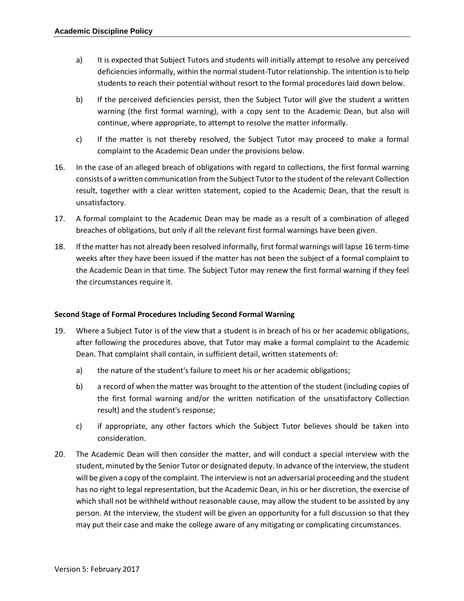- a) It is expected that Subject Tutors and students will initially attempt to resolve any perceived deficiencies informally, within the normal student-Tutor relationship. The intention is to help students to reach their potential without resort to the formal procedures laid down below.
- b) If the perceived deficiencies persist, then the Subject Tutor will give the student a written warning (the first formal warning), with a copy sent to the Academic Dean, but also will continue, where appropriate, to attempt to resolve the matter informally.
- c) If the matter is not thereby resolved, the Subject Tutor may proceed to make a formal complaint to the Academic Dean under the provisions below.
- 16. In the case of an alleged breach of obligations with regard to collections, the first formal warning consists of a written communication from the Subject Tutor to the student of the relevant Collection result, together with a clear written statement, copied to the Academic Dean, that the result is unsatisfactory.
- 17. A formal complaint to the Academic Dean may be made as a result of a combination of alleged breaches of obligations, but only if all the relevant first formal warnings have been given.
- 18. If the matter has not already been resolved informally, first formal warnings will lapse 16 term-time weeks after they have been issued if the matter has not been the subject of a formal complaint to the Academic Dean in that time. The Subject Tutor may renew the first formal warning if they feel the circumstances require it.

## **Second Stage of Formal Procedures Including Second Formal Warning**

- 19. Where a Subject Tutor is of the view that a student is in breach of his or her academic obligations, after following the procedures above, that Tutor may make a formal complaint to the Academic Dean. That complaint shall contain, in sufficient detail, written statements of:
	- a) the nature of the student's failure to meet his or her academic obligations;
	- b) a record of when the matter was brought to the attention of the student (including copies of the first formal warning and/or the written notification of the unsatisfactory Collection result) and the student's response;
	- c) if appropriate, any other factors which the Subject Tutor believes should be taken into consideration.
- 20. The Academic Dean will then consider the matter, and will conduct a special interview with the student, minuted by the Senior Tutor or designated deputy. In advance of the interview, the student will be given a copy of the complaint. The interview is not an adversarial proceeding and the student has no right to legal representation, but the Academic Dean, in his or her discretion, the exercise of which shall not be withheld without reasonable cause, may allow the student to be assisted by any person. At the interview, the student will be given an opportunity for a full discussion so that they may put their case and make the college aware of any mitigating or complicating circumstances.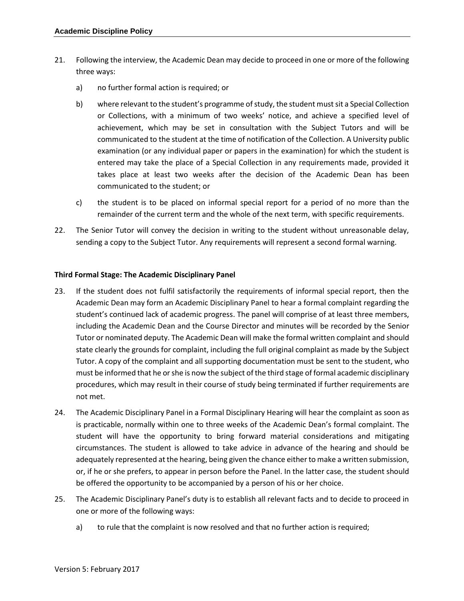- 21. Following the interview, the Academic Dean may decide to proceed in one or more of the following three ways:
	- a) no further formal action is required; or
	- b) where relevant to the student's programme of study, the student must sit a Special Collection or Collections, with a minimum of two weeks' notice, and achieve a specified level of achievement, which may be set in consultation with the Subject Tutors and will be communicated to the student at the time of notification of the Collection. A University public examination (or any individual paper or papers in the examination) for which the student is entered may take the place of a Special Collection in any requirements made, provided it takes place at least two weeks after the decision of the Academic Dean has been communicated to the student; or
	- c) the student is to be placed on informal special report for a period of no more than the remainder of the current term and the whole of the next term, with specific requirements.
- 22. The Senior Tutor will convey the decision in writing to the student without unreasonable delay, sending a copy to the Subject Tutor. Any requirements will represent a second formal warning.

#### **Third Formal Stage: The Academic Disciplinary Panel**

- 23. If the student does not fulfil satisfactorily the requirements of informal special report, then the Academic Dean may form an Academic Disciplinary Panel to hear a formal complaint regarding the student's continued lack of academic progress. The panel will comprise of at least three members, including the Academic Dean and the Course Director and minutes will be recorded by the Senior Tutor or nominated deputy. The Academic Dean will make the formal written complaint and should state clearly the grounds for complaint, including the full original complaint as made by the Subject Tutor. A copy of the complaint and all supporting documentation must be sent to the student, who must be informed that he or she is now the subject of the third stage of formal academic disciplinary procedures, which may result in their course of study being terminated if further requirements are not met.
- 24. The Academic Disciplinary Panel in a Formal Disciplinary Hearing will hear the complaint as soon as is practicable, normally within one to three weeks of the Academic Dean's formal complaint. The student will have the opportunity to bring forward material considerations and mitigating circumstances. The student is allowed to take advice in advance of the hearing and should be adequately represented at the hearing, being given the chance either to make a written submission, or, if he or she prefers, to appear in person before the Panel. In the latter case, the student should be offered the opportunity to be accompanied by a person of his or her choice.
- 25. The Academic Disciplinary Panel's duty is to establish all relevant facts and to decide to proceed in one or more of the following ways:
	- a) to rule that the complaint is now resolved and that no further action is required;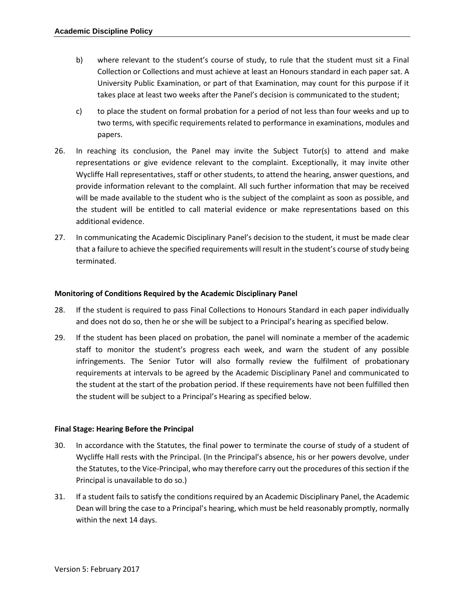- b) where relevant to the student's course of study, to rule that the student must sit a Final Collection or Collections and must achieve at least an Honours standard in each paper sat. A University Public Examination, or part of that Examination, may count for this purpose if it takes place at least two weeks after the Panel's decision is communicated to the student;
- c) to place the student on formal probation for a period of not less than four weeks and up to two terms, with specific requirements related to performance in examinations, modules and papers.
- 26. In reaching its conclusion, the Panel may invite the Subject Tutor(s) to attend and make representations or give evidence relevant to the complaint. Exceptionally, it may invite other Wycliffe Hall representatives, staff or other students, to attend the hearing, answer questions, and provide information relevant to the complaint. All such further information that may be received will be made available to the student who is the subject of the complaint as soon as possible, and the student will be entitled to call material evidence or make representations based on this additional evidence.
- 27. In communicating the Academic Disciplinary Panel's decision to the student, it must be made clear that a failure to achieve the specified requirements will result in the student's course of study being terminated.

## **Monitoring of Conditions Required by the Academic Disciplinary Panel**

- 28. If the student is required to pass Final Collections to Honours Standard in each paper individually and does not do so, then he or she will be subject to a Principal's hearing as specified below.
- 29. If the student has been placed on probation, the panel will nominate a member of the academic staff to monitor the student's progress each week, and warn the student of any possible infringements. The Senior Tutor will also formally review the fulfilment of probationary requirements at intervals to be agreed by the Academic Disciplinary Panel and communicated to the student at the start of the probation period. If these requirements have not been fulfilled then the student will be subject to a Principal's Hearing as specified below.

#### **Final Stage: Hearing Before the Principal**

- 30. In accordance with the Statutes, the final power to terminate the course of study of a student of Wycliffe Hall rests with the Principal. (In the Principal's absence, his or her powers devolve, under the Statutes, to the Vice-Principal, who may therefore carry out the procedures of this section if the Principal is unavailable to do so.)
- 31. If a student fails to satisfy the conditions required by an Academic Disciplinary Panel, the Academic Dean will bring the case to a Principal's hearing, which must be held reasonably promptly, normally within the next 14 days.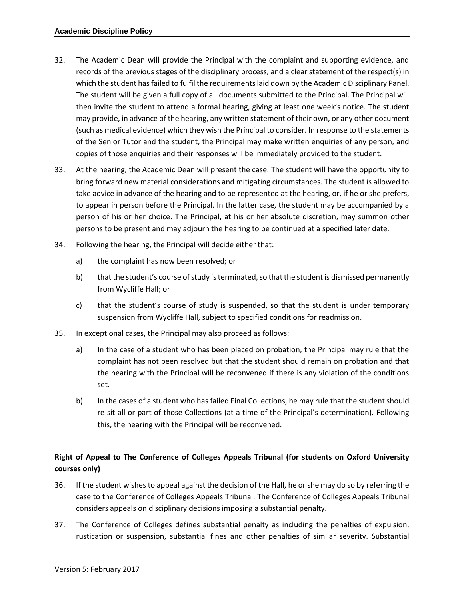- 32. The Academic Dean will provide the Principal with the complaint and supporting evidence, and records of the previous stages of the disciplinary process, and a clear statement of the respect(s) in which the student has failed to fulfil the requirements laid down by the Academic Disciplinary Panel. The student will be given a full copy of all documents submitted to the Principal. The Principal will then invite the student to attend a formal hearing, giving at least one week's notice. The student may provide, in advance of the hearing, any written statement of their own, or any other document (such as medical evidence) which they wish the Principal to consider. In response to the statements of the Senior Tutor and the student, the Principal may make written enquiries of any person, and copies of those enquiries and their responses will be immediately provided to the student.
- 33. At the hearing, the Academic Dean will present the case. The student will have the opportunity to bring forward new material considerations and mitigating circumstances. The student is allowed to take advice in advance of the hearing and to be represented at the hearing, or, if he or she prefers, to appear in person before the Principal. In the latter case, the student may be accompanied by a person of his or her choice. The Principal, at his or her absolute discretion, may summon other persons to be present and may adjourn the hearing to be continued at a specified later date.
- 34. Following the hearing, the Principal will decide either that:
	- a) the complaint has now been resolved; or
	- b) that the student's course of study is terminated, so that the student is dismissed permanently from Wycliffe Hall; or
	- c) that the student's course of study is suspended, so that the student is under temporary suspension from Wycliffe Hall, subject to specified conditions for readmission.
- 35. In exceptional cases, the Principal may also proceed as follows:
	- a) In the case of a student who has been placed on probation, the Principal may rule that the complaint has not been resolved but that the student should remain on probation and that the hearing with the Principal will be reconvened if there is any violation of the conditions set.
	- b) In the cases of a student who has failed Final Collections, he may rule that the student should re-sit all or part of those Collections (at a time of the Principal's determination). Following this, the hearing with the Principal will be reconvened.

# **Right of Appeal to The Conference of Colleges Appeals Tribunal (for students on Oxford University courses only)**

- 36. If the student wishes to appeal against the decision of the Hall, he or she may do so by referring the case to the Conference of Colleges Appeals Tribunal. The Conference of Colleges Appeals Tribunal considers appeals on disciplinary decisions imposing a substantial penalty.
- 37. The Conference of Colleges defines substantial penalty as including the penalties of expulsion, rustication or suspension, substantial fines and other penalties of similar severity. Substantial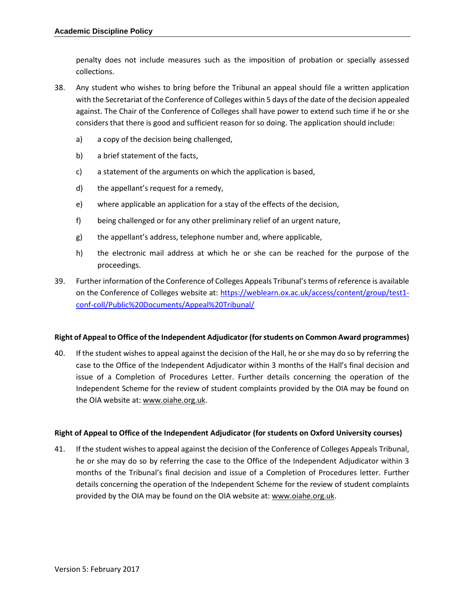penalty does not include measures such as the imposition of probation or specially assessed collections.

- 38. Any student who wishes to bring before the Tribunal an appeal should file a written application with the Secretariat of the Conference of Colleges within 5 days of the date of the decision appealed against. The Chair of the Conference of Colleges shall have power to extend such time if he or she considers that there is good and sufficient reason for so doing. The application should include:
	- a) a copy of the decision being challenged,
	- b) a brief statement of the facts,
	- c) a statement of the arguments on which the application is based,
	- d) the appellant's request for a remedy,
	- e) where applicable an application for a stay of the effects of the decision,
	- f) being challenged or for any other preliminary relief of an urgent nature,
	- g) the appellant's address, telephone number and, where applicable,
	- h) the electronic mail address at which he or she can be reached for the purpose of the proceedings.
- 39. Further information of the Conference of Colleges Appeals Tribunal's terms of reference is available on the Conference of Colleges website at: [https://weblearn.ox.ac.uk/access/content/group/test1](https://weblearn.ox.ac.uk/access/content/group/test1-conf-coll/Public%20Documents/Appeal%20Tribunal/) [conf-coll/Public%20Documents/Appeal%20Tribunal/](https://weblearn.ox.ac.uk/access/content/group/test1-conf-coll/Public%20Documents/Appeal%20Tribunal/)

## **Right of Appeal to Office of the Independent Adjudicator (for students on Common Award programmes)**

40. If the student wishes to appeal against the decision of the Hall, he or she may do so by referring the case to the Office of the Independent Adjudicator within 3 months of the Hall's final decision and issue of a Completion of Procedures Letter. Further details concerning the operation of the Independent Scheme for the review of student complaints provided by the OIA may be found on the OIA website at[: www.oiahe.org.uk.](http://www.oiahe.org.uk/)

## **Right of Appeal to Office of the Independent Adjudicator (for students on Oxford University courses)**

41. If the student wishes to appeal against the decision of the Conference of Colleges Appeals Tribunal, he or she may do so by referring the case to the Office of the Independent Adjudicator within 3 months of the Tribunal's final decision and issue of a Completion of Procedures letter. Further details concerning the operation of the Independent Scheme for the review of student complaints provided by the OIA may be found on the OIA website at: [www.oiahe.org.uk.](http://www.oiahe.org.uk/)